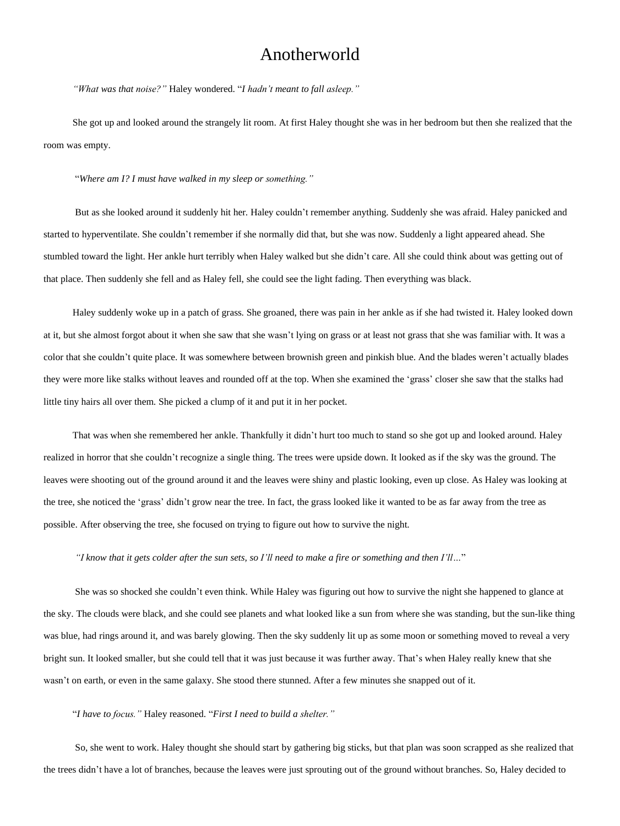## Anotherworld

*"What was that noise?"* Haley wondered. "*I hadn't meant to fall asleep."*

She got up and looked around the strangely lit room. At first Haley thought she was in her bedroom but then she realized that the room was empty.

"*Where am I? I must have walked in my sleep or something."*

But as she looked around it suddenly hit her. Haley couldn't remember anything. Suddenly she was afraid. Haley panicked and started to hyperventilate. She couldn't remember if she normally did that, but she was now. Suddenly a light appeared ahead. She stumbled toward the light. Her ankle hurt terribly when Haley walked but she didn't care. All she could think about was getting out of that place. Then suddenly she fell and as Haley fell, she could see the light fading. Then everything was black.

Haley suddenly woke up in a patch of grass. She groaned, there was pain in her ankle as if she had twisted it. Haley looked down at it, but she almost forgot about it when she saw that she wasn't lying on grass or at least not grass that she was familiar with. It was a color that she couldn't quite place. It was somewhere between brownish green and pinkish blue. And the blades weren't actually blades they were more like stalks without leaves and rounded off at the top. When she examined the 'grass' closer she saw that the stalks had little tiny hairs all over them. She picked a clump of it and put it in her pocket.

That was when she remembered her ankle. Thankfully it didn't hurt too much to stand so she got up and looked around. Haley realized in horror that she couldn't recognize a single thing. The trees were upside down. It looked as if the sky was the ground. The leaves were shooting out of the ground around it and the leaves were shiny and plastic looking, even up close. As Haley was looking at the tree, she noticed the 'grass' didn't grow near the tree. In fact, the grass looked like it wanted to be as far away from the tree as possible. After observing the tree, she focused on trying to figure out how to survive the night.

"I know that it gets colder after the sun sets, so I'll need to make a fire or something and then I'll..."

She was so shocked she couldn't even think. While Haley was figuring out how to survive the night she happened to glance at the sky. The clouds were black, and she could see planets and what looked like a sun from where she was standing, but the sun-like thing was blue, had rings around it, and was barely glowing. Then the sky suddenly lit up as some moon or something moved to reveal a very bright sun. It looked smaller, but she could tell that it was just because it was further away. That's when Haley really knew that she wasn't on earth, or even in the same galaxy. She stood there stunned. After a few minutes she snapped out of it.

"*I have to focus."* Haley reasoned. "*First I need to build a shelter."*

So, she went to work. Haley thought she should start by gathering big sticks, but that plan was soon scrapped as she realized that the trees didn't have a lot of branches, because the leaves were just sprouting out of the ground without branches. So, Haley decided to